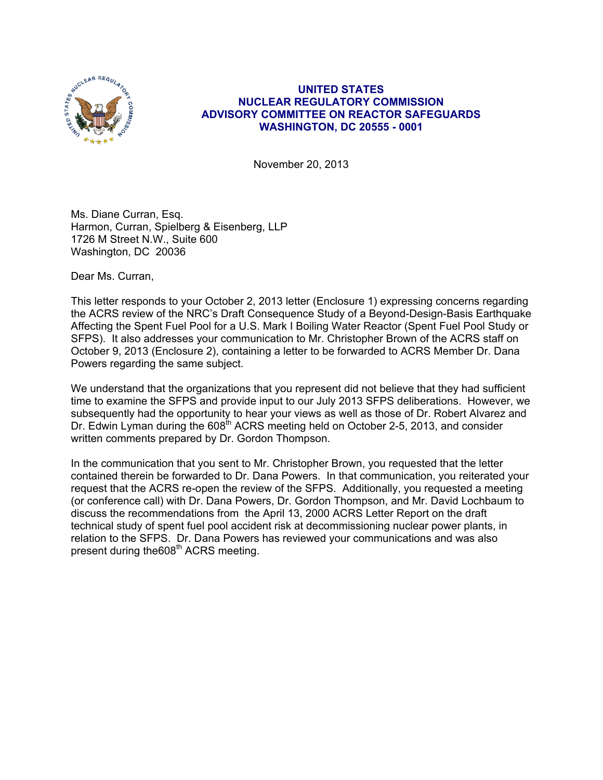

# **UNITED STATES NUCLEAR REGULATORY COMMISSION ADVISORY COMMITTEE ON REACTOR SAFEGUARDS WASHINGTON, DC 20555 - 0001**

November 20, 2013

Ms. Diane Curran, Esq. Harmon, Curran, Spielberg & Eisenberg, LLP 1726 M Street N.W., Suite 600 Washington, DC 20036

Dear Ms. Curran,

This letter responds to your October 2, 2013 letter (Enclosure 1) expressing concerns regarding the ACRS review of the NRC's Draft Consequence Study of a Beyond-Design-Basis Earthquake Affecting the Spent Fuel Pool for a U.S. Mark I Boiling Water Reactor (Spent Fuel Pool Study or SFPS). It also addresses your communication to Mr. Christopher Brown of the ACRS staff on October 9, 2013 (Enclosure 2), containing a letter to be forwarded to ACRS Member Dr. Dana Powers regarding the same subject.

We understand that the organizations that you represent did not believe that they had sufficient time to examine the SFPS and provide input to our July 2013 SFPS deliberations. However, we subsequently had the opportunity to hear your views as well as those of Dr. Robert Alvarez and Dr. Edwin Lyman during the 608<sup>th</sup> ACRS meeting held on October 2-5, 2013, and consider written comments prepared by Dr. Gordon Thompson.

In the communication that you sent to Mr. Christopher Brown, you requested that the letter contained therein be forwarded to Dr. Dana Powers. In that communication, you reiterated your request that the ACRS re-open the review of the SFPS. Additionally, you requested a meeting (or conference call) with Dr. Dana Powers, Dr. Gordon Thompson, and Mr. David Lochbaum to discuss the recommendations from the April 13, 2000 ACRS Letter Report on the draft technical study of spent fuel pool accident risk at decommissioning nuclear power plants, in relation to the SFPS. Dr. Dana Powers has reviewed your communications and was also present during the608<sup>th</sup> ACRS meeting.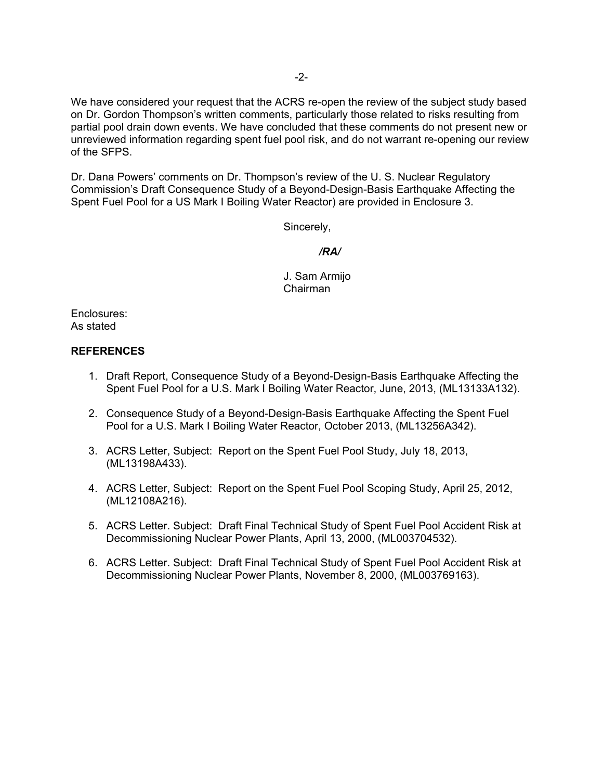We have considered your request that the ACRS re-open the review of the subject study based on Dr. Gordon Thompson's written comments, particularly those related to risks resulting from partial pool drain down events. We have concluded that these comments do not present new or unreviewed information regarding spent fuel pool risk, and do not warrant re-opening our review of the SFPS.

Dr. Dana Powers' comments on Dr. Thompson's review of the U. S. Nuclear Regulatory Commission's Draft Consequence Study of a Beyond-Design-Basis Earthquake Affecting the Spent Fuel Pool for a US Mark I Boiling Water Reactor) are provided in Enclosure 3.

Sincerely,

#### */RA/*

J. Sam Armijo Chairman

Enclosures: As stated

#### **REFERENCES**

- 1. Draft Report, Consequence Study of a Beyond-Design-Basis Earthquake Affecting the Spent Fuel Pool for a U.S. Mark I Boiling Water Reactor, June, 2013, (ML13133A132).
- 2. Consequence Study of a Beyond-Design-Basis Earthquake Affecting the Spent Fuel Pool for a U.S. Mark I Boiling Water Reactor, October 2013, (ML13256A342).
- 3. ACRS Letter, Subject: Report on the Spent Fuel Pool Study, July 18, 2013, (ML13198A433).
- 4. ACRS Letter, Subject: Report on the Spent Fuel Pool Scoping Study, April 25, 2012, (ML12108A216).
- 5. ACRS Letter. Subject: Draft Final Technical Study of Spent Fuel Pool Accident Risk at Decommissioning Nuclear Power Plants, April 13, 2000, (ML003704532).
- 6. ACRS Letter. Subject: Draft Final Technical Study of Spent Fuel Pool Accident Risk at Decommissioning Nuclear Power Plants, November 8, 2000, (ML003769163).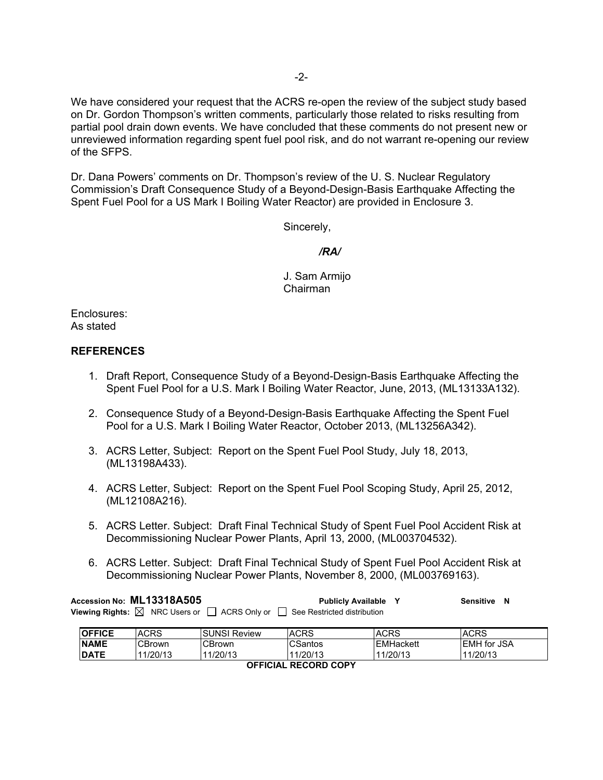We have considered your request that the ACRS re-open the review of the subject study based on Dr. Gordon Thompson's written comments, particularly those related to risks resulting from partial pool drain down events. We have concluded that these comments do not present new or unreviewed information regarding spent fuel pool risk, and do not warrant re-opening our review of the SFPS.

Dr. Dana Powers' comments on Dr. Thompson's review of the U. S. Nuclear Regulatory Commission's Draft Consequence Study of a Beyond-Design-Basis Earthquake Affecting the Spent Fuel Pool for a US Mark I Boiling Water Reactor) are provided in Enclosure 3.

Sincerely,

#### */RA/*

J. Sam Armijo Chairman

Enclosures: As stated

## **REFERENCES**

- 1. Draft Report, Consequence Study of a Beyond-Design-Basis Earthquake Affecting the Spent Fuel Pool for a U.S. Mark I Boiling Water Reactor, June, 2013, (ML13133A132).
- 2. Consequence Study of a Beyond-Design-Basis Earthquake Affecting the Spent Fuel Pool for a U.S. Mark I Boiling Water Reactor, October 2013, (ML13256A342).
- 3. ACRS Letter, Subject: Report on the Spent Fuel Pool Study, July 18, 2013, (ML13198A433).
- 4. ACRS Letter, Subject: Report on the Spent Fuel Pool Scoping Study, April 25, 2012, (ML12108A216).
- 5. ACRS Letter. Subject: Draft Final Technical Study of Spent Fuel Pool Accident Risk at Decommissioning Nuclear Power Plants, April 13, 2000, (ML003704532).
- 6. ACRS Letter. Subject: Draft Final Technical Study of Spent Fuel Pool Accident Risk at Decommissioning Nuclear Power Plants, November 8, 2000, (ML003769163).

**Accession No: ML13318A505 Publicly Available Y Sensitive N Viewing Rights:**  $\boxtimes$  NRC Users or  $\Box$  ACRS Only or  $\Box$  See Restricted distribution

| <b>OFFICE</b>               | <b>ACRS</b> | <b>ISUNSI Review</b> | <b>ACRS</b> | <b>ACRS</b>      | <b>ACRS</b>        |
|-----------------------------|-------------|----------------------|-------------|------------------|--------------------|
| <b>NAME</b>                 | CBrown      | CBrown               | CSantos     | <b>EMHackett</b> | <b>EMH</b> for JSA |
| <b>DATE</b>                 | 11/20/13    | 11/20/13             | 11/20/13    | 11/20/13         | 11/20/13           |
| <b>OFFICIAL RECORD COPY</b> |             |                      |             |                  |                    |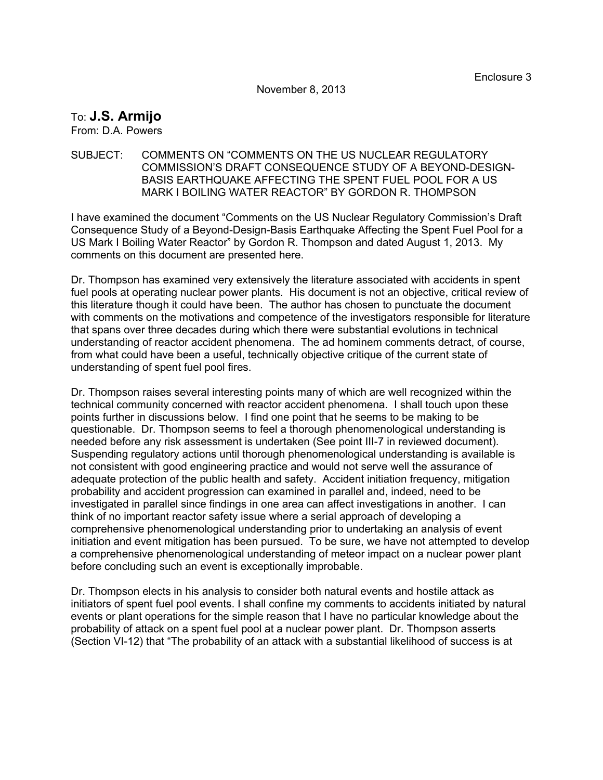November 8, 2013

# To: **J.S. Armijo**

From: D.A. Powers

### SUBJECT: COMMENTS ON "COMMENTS ON THE US NUCLEAR REGULATORY COMMISSION'S DRAFT CONSEQUENCE STUDY OF A BEYOND-DESIGN-BASIS EARTHQUAKE AFFECTING THE SPENT FUEL POOL FOR A US MARK I BOILING WATER REACTOR" BY GORDON R. THOMPSON

I have examined the document "Comments on the US Nuclear Regulatory Commission's Draft Consequence Study of a Beyond-Design-Basis Earthquake Affecting the Spent Fuel Pool for a US Mark I Boiling Water Reactor" by Gordon R. Thompson and dated August 1, 2013. My comments on this document are presented here.

Dr. Thompson has examined very extensively the literature associated with accidents in spent fuel pools at operating nuclear power plants. His document is not an objective, critical review of this literature though it could have been. The author has chosen to punctuate the document with comments on the motivations and competence of the investigators responsible for literature that spans over three decades during which there were substantial evolutions in technical understanding of reactor accident phenomena. The ad hominem comments detract, of course, from what could have been a useful, technically objective critique of the current state of understanding of spent fuel pool fires.

Dr. Thompson raises several interesting points many of which are well recognized within the technical community concerned with reactor accident phenomena. I shall touch upon these points further in discussions below. I find one point that he seems to be making to be questionable. Dr. Thompson seems to feel a thorough phenomenological understanding is needed before any risk assessment is undertaken (See point III-7 in reviewed document). Suspending regulatory actions until thorough phenomenological understanding is available is not consistent with good engineering practice and would not serve well the assurance of adequate protection of the public health and safety. Accident initiation frequency, mitigation probability and accident progression can examined in parallel and, indeed, need to be investigated in parallel since findings in one area can affect investigations in another. I can think of no important reactor safety issue where a serial approach of developing a comprehensive phenomenological understanding prior to undertaking an analysis of event initiation and event mitigation has been pursued. To be sure, we have not attempted to develop a comprehensive phenomenological understanding of meteor impact on a nuclear power plant before concluding such an event is exceptionally improbable.

Dr. Thompson elects in his analysis to consider both natural events and hostile attack as initiators of spent fuel pool events. I shall confine my comments to accidents initiated by natural events or plant operations for the simple reason that I have no particular knowledge about the probability of attack on a spent fuel pool at a nuclear power plant. Dr. Thompson asserts (Section VI-12) that "The probability of an attack with a substantial likelihood of success is at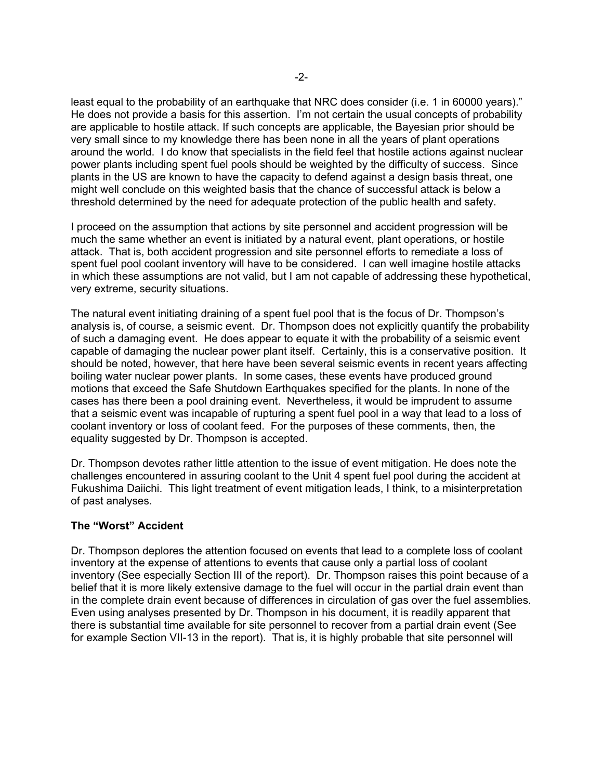least equal to the probability of an earthquake that NRC does consider (i.e. 1 in 60000 years)." He does not provide a basis for this assertion. I'm not certain the usual concepts of probability are applicable to hostile attack. If such concepts are applicable, the Bayesian prior should be very small since to my knowledge there has been none in all the years of plant operations around the world. I do know that specialists in the field feel that hostile actions against nuclear power plants including spent fuel pools should be weighted by the difficulty of success. Since plants in the US are known to have the capacity to defend against a design basis threat, one might well conclude on this weighted basis that the chance of successful attack is below a threshold determined by the need for adequate protection of the public health and safety.

I proceed on the assumption that actions by site personnel and accident progression will be much the same whether an event is initiated by a natural event, plant operations, or hostile attack. That is, both accident progression and site personnel efforts to remediate a loss of spent fuel pool coolant inventory will have to be considered. I can well imagine hostile attacks in which these assumptions are not valid, but I am not capable of addressing these hypothetical, very extreme, security situations.

The natural event initiating draining of a spent fuel pool that is the focus of Dr. Thompson's analysis is, of course, a seismic event. Dr. Thompson does not explicitly quantify the probability of such a damaging event. He does appear to equate it with the probability of a seismic event capable of damaging the nuclear power plant itself. Certainly, this is a conservative position. It should be noted, however, that here have been several seismic events in recent years affecting boiling water nuclear power plants. In some cases, these events have produced ground motions that exceed the Safe Shutdown Earthquakes specified for the plants. In none of the cases has there been a pool draining event. Nevertheless, it would be imprudent to assume that a seismic event was incapable of rupturing a spent fuel pool in a way that lead to a loss of coolant inventory or loss of coolant feed. For the purposes of these comments, then, the equality suggested by Dr. Thompson is accepted.

Dr. Thompson devotes rather little attention to the issue of event mitigation. He does note the challenges encountered in assuring coolant to the Unit 4 spent fuel pool during the accident at Fukushima Daiichi. This light treatment of event mitigation leads, I think, to a misinterpretation of past analyses.

#### **The "Worst" Accident**

Dr. Thompson deplores the attention focused on events that lead to a complete loss of coolant inventory at the expense of attentions to events that cause only a partial loss of coolant inventory (See especially Section III of the report). Dr. Thompson raises this point because of a belief that it is more likely extensive damage to the fuel will occur in the partial drain event than in the complete drain event because of differences in circulation of gas over the fuel assemblies. Even using analyses presented by Dr. Thompson in his document, it is readily apparent that there is substantial time available for site personnel to recover from a partial drain event (See for example Section VII-13 in the report). That is, it is highly probable that site personnel will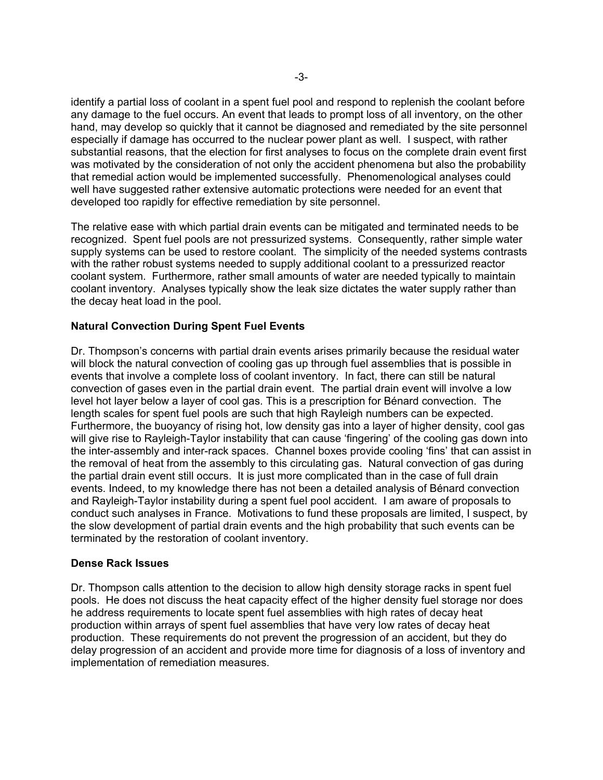identify a partial loss of coolant in a spent fuel pool and respond to replenish the coolant before any damage to the fuel occurs. An event that leads to prompt loss of all inventory, on the other hand, may develop so quickly that it cannot be diagnosed and remediated by the site personnel especially if damage has occurred to the nuclear power plant as well. I suspect, with rather substantial reasons, that the election for first analyses to focus on the complete drain event first was motivated by the consideration of not only the accident phenomena but also the probability that remedial action would be implemented successfully. Phenomenological analyses could well have suggested rather extensive automatic protections were needed for an event that developed too rapidly for effective remediation by site personnel.

The relative ease with which partial drain events can be mitigated and terminated needs to be recognized. Spent fuel pools are not pressurized systems. Consequently, rather simple water supply systems can be used to restore coolant. The simplicity of the needed systems contrasts with the rather robust systems needed to supply additional coolant to a pressurized reactor coolant system. Furthermore, rather small amounts of water are needed typically to maintain coolant inventory. Analyses typically show the leak size dictates the water supply rather than the decay heat load in the pool.

## **Natural Convection During Spent Fuel Events**

Dr. Thompson's concerns with partial drain events arises primarily because the residual water will block the natural convection of cooling gas up through fuel assemblies that is possible in events that involve a complete loss of coolant inventory. In fact, there can still be natural convection of gases even in the partial drain event. The partial drain event will involve a low level hot layer below a layer of cool gas. This is a prescription for Bénard convection. The length scales for spent fuel pools are such that high Rayleigh numbers can be expected. Furthermore, the buoyancy of rising hot, low density gas into a layer of higher density, cool gas will give rise to Rayleigh-Taylor instability that can cause 'fingering' of the cooling gas down into the inter-assembly and inter-rack spaces. Channel boxes provide cooling 'fins' that can assist in the removal of heat from the assembly to this circulating gas. Natural convection of gas during the partial drain event still occurs. It is just more complicated than in the case of full drain events. Indeed, to my knowledge there has not been a detailed analysis of Bénard convection and Rayleigh-Taylor instability during a spent fuel pool accident. I am aware of proposals to conduct such analyses in France. Motivations to fund these proposals are limited, I suspect, by the slow development of partial drain events and the high probability that such events can be terminated by the restoration of coolant inventory.

#### **Dense Rack Issues**

Dr. Thompson calls attention to the decision to allow high density storage racks in spent fuel pools. He does not discuss the heat capacity effect of the higher density fuel storage nor does he address requirements to locate spent fuel assemblies with high rates of decay heat production within arrays of spent fuel assemblies that have very low rates of decay heat production. These requirements do not prevent the progression of an accident, but they do delay progression of an accident and provide more time for diagnosis of a loss of inventory and implementation of remediation measures.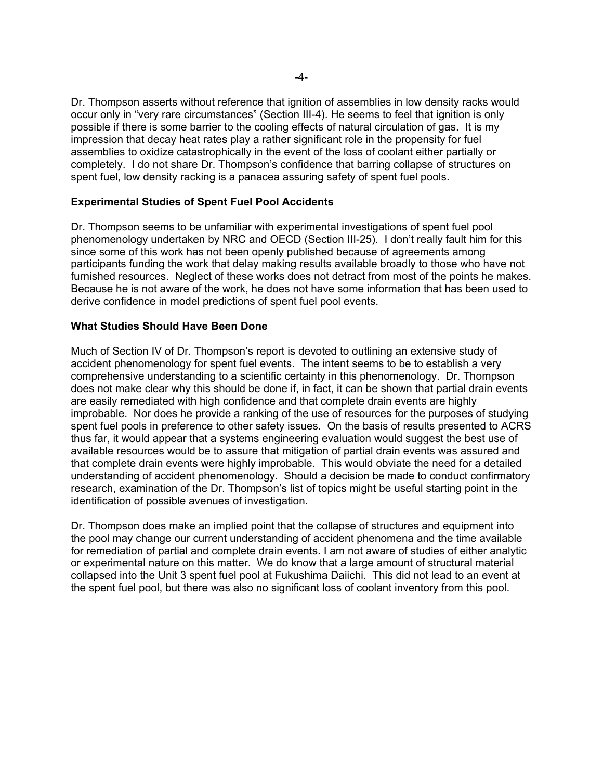Dr. Thompson asserts without reference that ignition of assemblies in low density racks would occur only in "very rare circumstances" (Section III-4). He seems to feel that ignition is only possible if there is some barrier to the cooling effects of natural circulation of gas. It is my impression that decay heat rates play a rather significant role in the propensity for fuel assemblies to oxidize catastrophically in the event of the loss of coolant either partially or completely. I do not share Dr. Thompson's confidence that barring collapse of structures on spent fuel, low density racking is a panacea assuring safety of spent fuel pools.

# **Experimental Studies of Spent Fuel Pool Accidents**

Dr. Thompson seems to be unfamiliar with experimental investigations of spent fuel pool phenomenology undertaken by NRC and OECD (Section III-25). I don't really fault him for this since some of this work has not been openly published because of agreements among participants funding the work that delay making results available broadly to those who have not furnished resources. Neglect of these works does not detract from most of the points he makes. Because he is not aware of the work, he does not have some information that has been used to derive confidence in model predictions of spent fuel pool events.

#### **What Studies Should Have Been Done**

Much of Section IV of Dr. Thompson's report is devoted to outlining an extensive study of accident phenomenology for spent fuel events. The intent seems to be to establish a very comprehensive understanding to a scientific certainty in this phenomenology. Dr. Thompson does not make clear why this should be done if, in fact, it can be shown that partial drain events are easily remediated with high confidence and that complete drain events are highly improbable. Nor does he provide a ranking of the use of resources for the purposes of studying spent fuel pools in preference to other safety issues. On the basis of results presented to ACRS thus far, it would appear that a systems engineering evaluation would suggest the best use of available resources would be to assure that mitigation of partial drain events was assured and that complete drain events were highly improbable. This would obviate the need for a detailed understanding of accident phenomenology. Should a decision be made to conduct confirmatory research, examination of the Dr. Thompson's list of topics might be useful starting point in the identification of possible avenues of investigation.

Dr. Thompson does make an implied point that the collapse of structures and equipment into the pool may change our current understanding of accident phenomena and the time available for remediation of partial and complete drain events. I am not aware of studies of either analytic or experimental nature on this matter. We do know that a large amount of structural material collapsed into the Unit 3 spent fuel pool at Fukushima Daiichi. This did not lead to an event at the spent fuel pool, but there was also no significant loss of coolant inventory from this pool.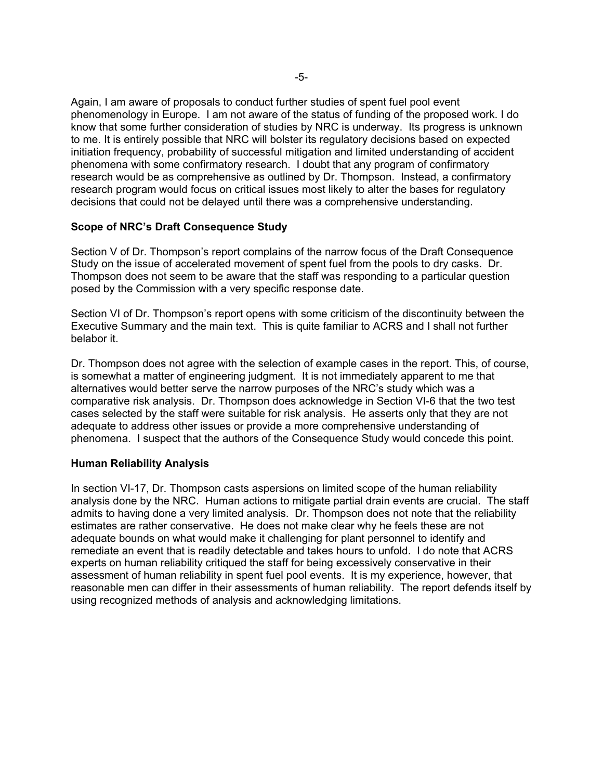Again, I am aware of proposals to conduct further studies of spent fuel pool event phenomenology in Europe. I am not aware of the status of funding of the proposed work. I do know that some further consideration of studies by NRC is underway. Its progress is unknown to me. It is entirely possible that NRC will bolster its regulatory decisions based on expected initiation frequency, probability of successful mitigation and limited understanding of accident phenomena with some confirmatory research. I doubt that any program of confirmatory research would be as comprehensive as outlined by Dr. Thompson. Instead, a confirmatory research program would focus on critical issues most likely to alter the bases for regulatory decisions that could not be delayed until there was a comprehensive understanding.

# **Scope of NRC's Draft Consequence Study**

Section V of Dr. Thompson's report complains of the narrow focus of the Draft Consequence Study on the issue of accelerated movement of spent fuel from the pools to dry casks. Dr. Thompson does not seem to be aware that the staff was responding to a particular question posed by the Commission with a very specific response date.

Section VI of Dr. Thompson's report opens with some criticism of the discontinuity between the Executive Summary and the main text. This is quite familiar to ACRS and I shall not further belabor it.

Dr. Thompson does not agree with the selection of example cases in the report. This, of course, is somewhat a matter of engineering judgment. It is not immediately apparent to me that alternatives would better serve the narrow purposes of the NRC's study which was a comparative risk analysis. Dr. Thompson does acknowledge in Section VI-6 that the two test cases selected by the staff were suitable for risk analysis. He asserts only that they are not adequate to address other issues or provide a more comprehensive understanding of phenomena. I suspect that the authors of the Consequence Study would concede this point.

#### **Human Reliability Analysis**

In section VI-17, Dr. Thompson casts aspersions on limited scope of the human reliability analysis done by the NRC. Human actions to mitigate partial drain events are crucial. The staff admits to having done a very limited analysis. Dr. Thompson does not note that the reliability estimates are rather conservative. He does not make clear why he feels these are not adequate bounds on what would make it challenging for plant personnel to identify and remediate an event that is readily detectable and takes hours to unfold. I do note that ACRS experts on human reliability critiqued the staff for being excessively conservative in their assessment of human reliability in spent fuel pool events. It is my experience, however, that reasonable men can differ in their assessments of human reliability. The report defends itself by using recognized methods of analysis and acknowledging limitations.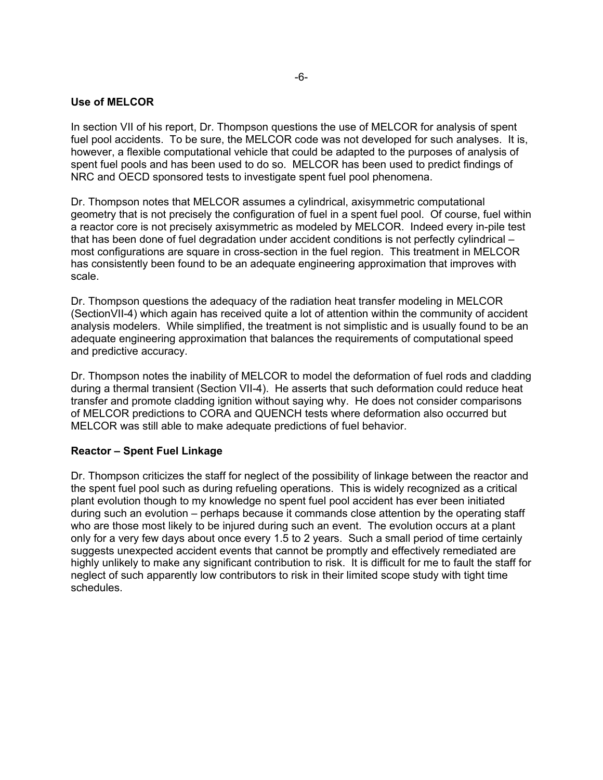# **Use of MELCOR**

In section VII of his report, Dr. Thompson questions the use of MELCOR for analysis of spent fuel pool accidents. To be sure, the MELCOR code was not developed for such analyses. It is, however, a flexible computational vehicle that could be adapted to the purposes of analysis of spent fuel pools and has been used to do so. MELCOR has been used to predict findings of NRC and OECD sponsored tests to investigate spent fuel pool phenomena.

Dr. Thompson notes that MELCOR assumes a cylindrical, axisymmetric computational geometry that is not precisely the configuration of fuel in a spent fuel pool. Of course, fuel within a reactor core is not precisely axisymmetric as modeled by MELCOR. Indeed every in-pile test that has been done of fuel degradation under accident conditions is not perfectly cylindrical – most configurations are square in cross-section in the fuel region. This treatment in MELCOR has consistently been found to be an adequate engineering approximation that improves with scale.

Dr. Thompson questions the adequacy of the radiation heat transfer modeling in MELCOR (SectionVII-4) which again has received quite a lot of attention within the community of accident analysis modelers. While simplified, the treatment is not simplistic and is usually found to be an adequate engineering approximation that balances the requirements of computational speed and predictive accuracy.

Dr. Thompson notes the inability of MELCOR to model the deformation of fuel rods and cladding during a thermal transient (Section VII-4). He asserts that such deformation could reduce heat transfer and promote cladding ignition without saying why. He does not consider comparisons of MELCOR predictions to CORA and QUENCH tests where deformation also occurred but MELCOR was still able to make adequate predictions of fuel behavior.

#### **Reactor – Spent Fuel Linkage**

Dr. Thompson criticizes the staff for neglect of the possibility of linkage between the reactor and the spent fuel pool such as during refueling operations. This is widely recognized as a critical plant evolution though to my knowledge no spent fuel pool accident has ever been initiated during such an evolution – perhaps because it commands close attention by the operating staff who are those most likely to be injured during such an event. The evolution occurs at a plant only for a very few days about once every 1.5 to 2 years. Such a small period of time certainly suggests unexpected accident events that cannot be promptly and effectively remediated are highly unlikely to make any significant contribution to risk. It is difficult for me to fault the staff for neglect of such apparently low contributors to risk in their limited scope study with tight time schedules.